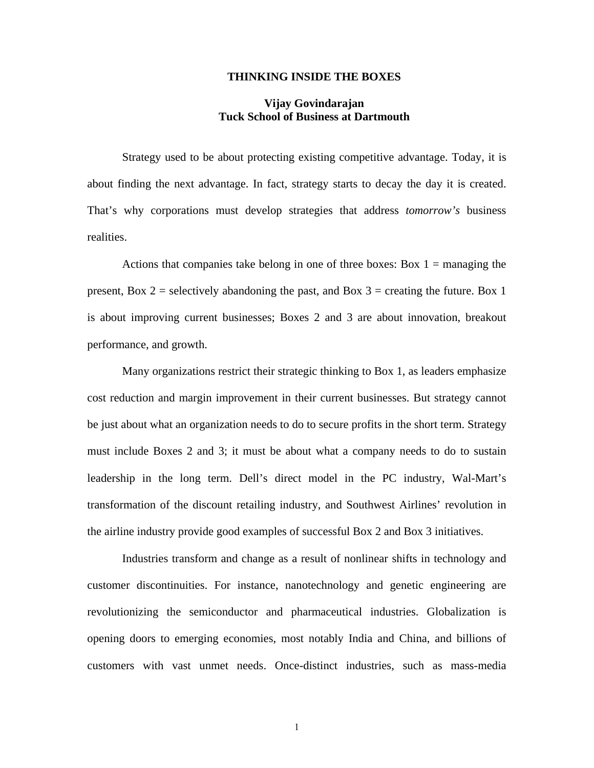## **THINKING INSIDE THE BOXES**

## **Vijay Govindarajan Tuck School of Business at Dartmouth**

Strategy used to be about protecting existing competitive advantage. Today, it is about finding the next advantage. In fact, strategy starts to decay the day it is created. That's why corporations must develop strategies that address *tomorrow's* business realities.

Actions that companies take belong in one of three boxes: Box  $1 =$  managing the present, Box 2 = selectively abandoning the past, and Box 3 = creating the future. Box 1 is about improving current businesses; Boxes 2 and 3 are about innovation, breakout performance, and growth.

Many organizations restrict their strategic thinking to Box 1, as leaders emphasize cost reduction and margin improvement in their current businesses. But strategy cannot be just about what an organization needs to do to secure profits in the short term. Strategy must include Boxes 2 and 3; it must be about what a company needs to do to sustain leadership in the long term. Dell's direct model in the PC industry, Wal-Mart's transformation of the discount retailing industry, and Southwest Airlines' revolution in the airline industry provide good examples of successful Box 2 and Box 3 initiatives.

Industries transform and change as a result of nonlinear shifts in technology and customer discontinuities. For instance, nanotechnology and genetic engineering are revolutionizing the semiconductor and pharmaceutical industries. Globalization is opening doors to emerging economies, most notably India and China, and billions of customers with vast unmet needs. Once-distinct industries, such as mass-media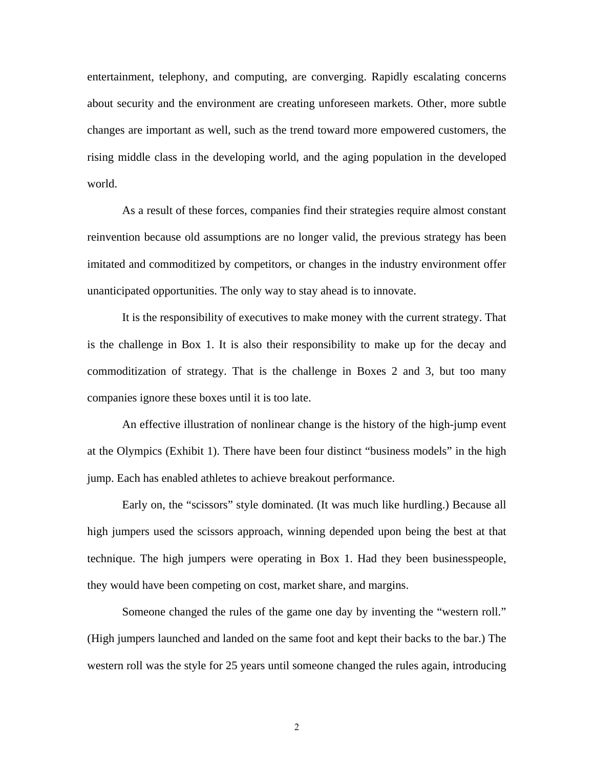entertainment, telephony, and computing, are converging. Rapidly escalating concerns about security and the environment are creating unforeseen markets. Other, more subtle changes are important as well, such as the trend toward more empowered customers, the rising middle class in the developing world, and the aging population in the developed world.

As a result of these forces, companies find their strategies require almost constant reinvention because old assumptions are no longer valid, the previous strategy has been imitated and commoditized by competitors, or changes in the industry environment offer unanticipated opportunities. The only way to stay ahead is to innovate.

It is the responsibility of executives to make money with the current strategy. That is the challenge in Box 1. It is also their responsibility to make up for the decay and commoditization of strategy. That is the challenge in Boxes 2 and 3, but too many companies ignore these boxes until it is too late.

An effective illustration of nonlinear change is the history of the high-jump event at the Olympics (Exhibit 1). There have been four distinct "business models" in the high jump. Each has enabled athletes to achieve breakout performance.

Early on, the "scissors" style dominated. (It was much like hurdling.) Because all high jumpers used the scissors approach, winning depended upon being the best at that technique. The high jumpers were operating in Box 1. Had they been businesspeople, they would have been competing on cost, market share, and margins.

Someone changed the rules of the game one day by inventing the "western roll." (High jumpers launched and landed on the same foot and kept their backs to the bar.) The western roll was the style for 25 years until someone changed the rules again, introducing

2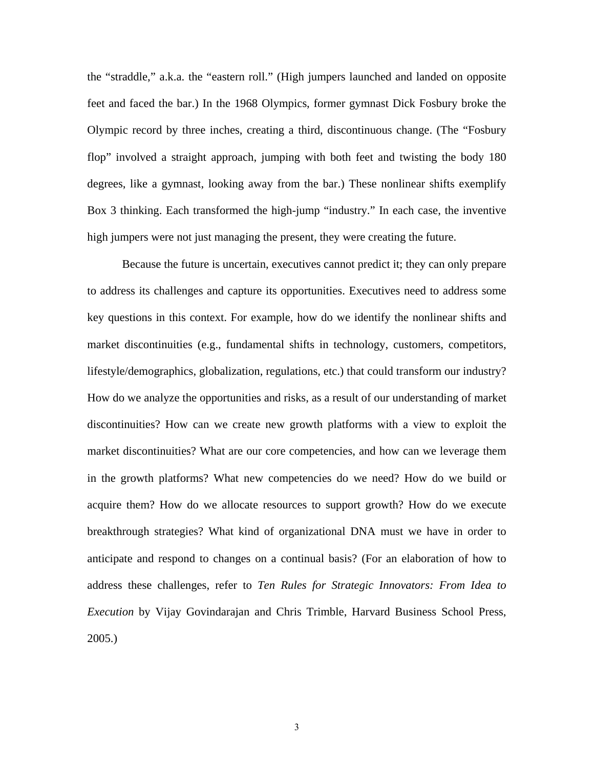the "straddle," a.k.a. the "eastern roll." (High jumpers launched and landed on opposite feet and faced the bar.) In the 1968 Olympics, former gymnast Dick Fosbury broke the Olympic record by three inches, creating a third, discontinuous change. (The "Fosbury flop" involved a straight approach, jumping with both feet and twisting the body 180 degrees, like a gymnast, looking away from the bar.) These nonlinear shifts exemplify Box 3 thinking. Each transformed the high-jump "industry." In each case, the inventive high jumpers were not just managing the present, they were creating the future.

Because the future is uncertain, executives cannot predict it; they can only prepare to address its challenges and capture its opportunities. Executives need to address some key questions in this context. For example, how do we identify the nonlinear shifts and market discontinuities (e.g., fundamental shifts in technology, customers, competitors, lifestyle/demographics, globalization, regulations, etc.) that could transform our industry? How do we analyze the opportunities and risks, as a result of our understanding of market discontinuities? How can we create new growth platforms with a view to exploit the market discontinuities? What are our core competencies, and how can we leverage them in the growth platforms? What new competencies do we need? How do we build or acquire them? How do we allocate resources to support growth? How do we execute breakthrough strategies? What kind of organizational DNA must we have in order to anticipate and respond to changes on a continual basis? (For an elaboration of how to address these challenges, refer to *Ten Rules for Strategic Innovators: From Idea to Execution* by Vijay Govindarajan and Chris Trimble, Harvard Business School Press, 2005.)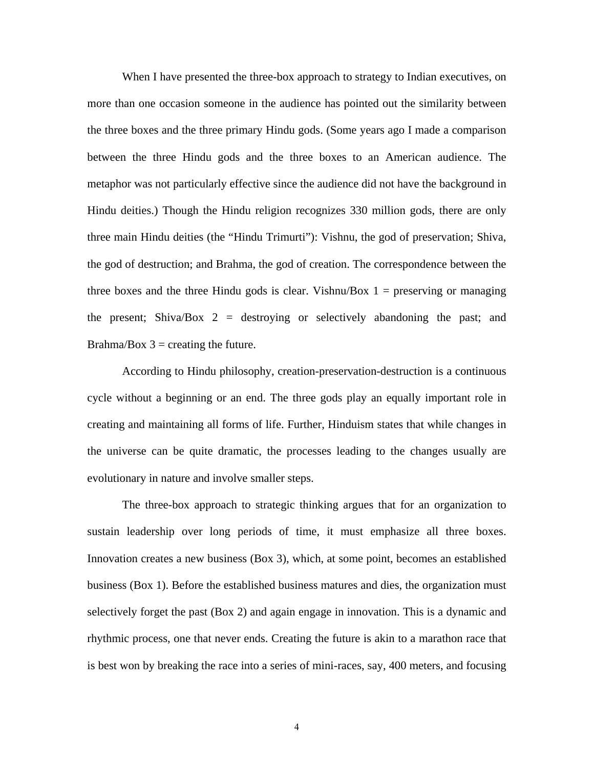When I have presented the three-box approach to strategy to Indian executives, on more than one occasion someone in the audience has pointed out the similarity between the three boxes and the three primary Hindu gods. (Some years ago I made a comparison between the three Hindu gods and the three boxes to an American audience. The metaphor was not particularly effective since the audience did not have the background in Hindu deities.) Though the Hindu religion recognizes 330 million gods, there are only three main Hindu deities (the "Hindu Trimurti"): Vishnu, the god of preservation; Shiva, the god of destruction; and Brahma, the god of creation. The correspondence between the three boxes and the three Hindu gods is clear. Vishnu/Box  $1 =$  preserving or managing the present; Shiva/Box  $2 =$  destroying or selectively abandoning the past; and Brahma/Box  $3 =$  creating the future.

According to Hindu philosophy, creation-preservation-destruction is a continuous cycle without a beginning or an end. The three gods play an equally important role in creating and maintaining all forms of life. Further, Hinduism states that while changes in the universe can be quite dramatic, the processes leading to the changes usually are evolutionary in nature and involve smaller steps.

The three-box approach to strategic thinking argues that for an organization to sustain leadership over long periods of time, it must emphasize all three boxes. Innovation creates a new business (Box 3), which, at some point, becomes an established business (Box 1). Before the established business matures and dies, the organization must selectively forget the past (Box 2) and again engage in innovation. This is a dynamic and rhythmic process, one that never ends. Creating the future is akin to a marathon race that is best won by breaking the race into a series of mini-races, say, 400 meters, and focusing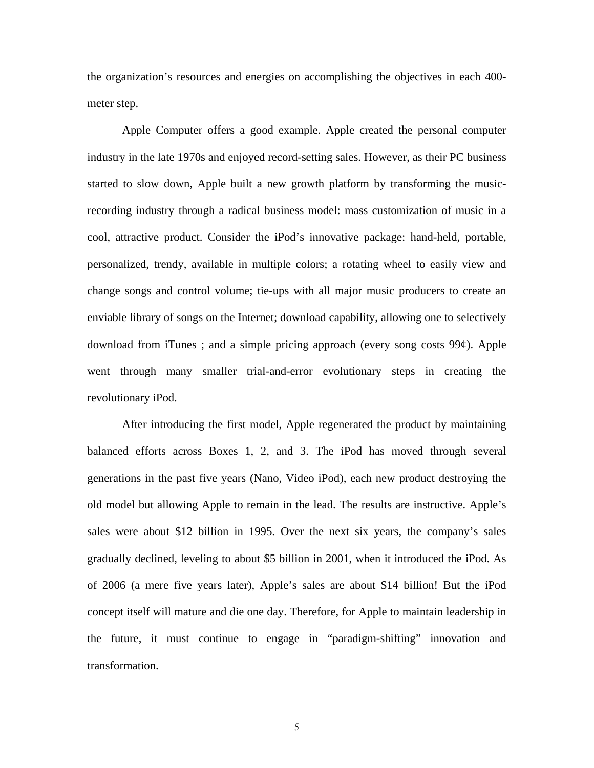the organization's resources and energies on accomplishing the objectives in each 400 meter step.

Apple Computer offers a good example. Apple created the personal computer industry in the late 1970s and enjoyed record-setting sales. However, as their PC business started to slow down, Apple built a new growth platform by transforming the musicrecording industry through a radical business model: mass customization of music in a cool, attractive product. Consider the iPod's innovative package: hand-held, portable, personalized, trendy, available in multiple colors; a rotating wheel to easily view and change songs and control volume; tie-ups with all major music producers to create an enviable library of songs on the Internet; download capability, allowing one to selectively download from iTunes; and a simple pricing approach (every song costs  $99¢$ ). Apple went through many smaller trial-and-error evolutionary steps in creating the revolutionary iPod.

After introducing the first model, Apple regenerated the product by maintaining balanced efforts across Boxes 1, 2, and 3. The iPod has moved through several generations in the past five years (Nano, Video iPod), each new product destroying the old model but allowing Apple to remain in the lead. The results are instructive. Apple's sales were about \$12 billion in 1995. Over the next six years, the company's sales gradually declined, leveling to about \$5 billion in 2001, when it introduced the iPod. As of 2006 (a mere five years later), Apple's sales are about \$14 billion! But the iPod concept itself will mature and die one day. Therefore, for Apple to maintain leadership in the future, it must continue to engage in "paradigm-shifting" innovation and transformation.